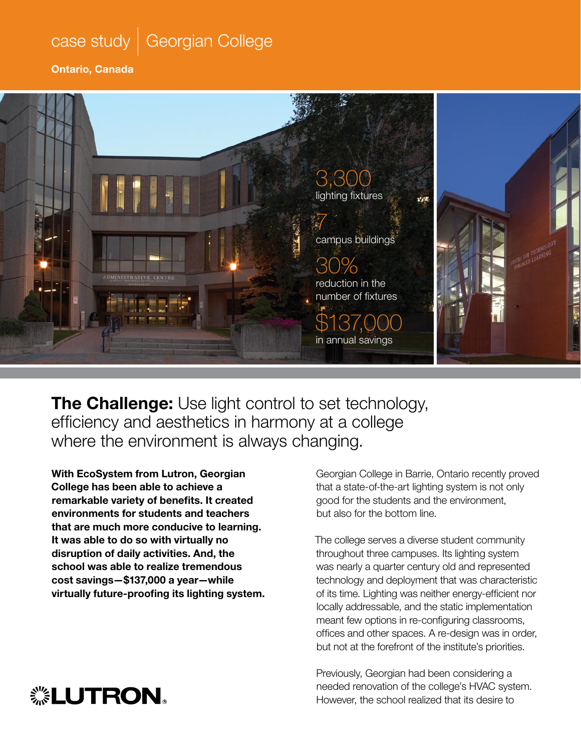## case study *|* Georgian College

Ontario, Canada



The Challenge: Use light control to set technology, efficiency and aesthetics in harmony at a college where the environment is always changing.

With EcoSystem from Lutron, Georgian College has been able to achieve a remarkable variety of benefits. It created environments for students and teachers that are much more conducive to learning. It was able to do so with virtually no disruption of daily activities. And, the school was able to realize tremendous cost savings—\$137,000 a year—while virtually future-proofing its lighting system. Georgian College in Barrie, Ontario recently proved that a state-of-the-art lighting system is not only good for the students and the environment, but also for the bottom line.

The college serves a diverse student community throughout three campuses. Its lighting system was nearly a quarter century old and represented technology and deployment that was characteristic of its time. Lighting was neither energy-efficient nor locally addressable, and the static implementation meant few options in re-configuring classrooms, offices and other spaces. A re-design was in order, but not at the forefront of the institute's priorities.

Previously, Georgian had been considering a needed renovation of the college's HVAC system. However, the school realized that its desire to

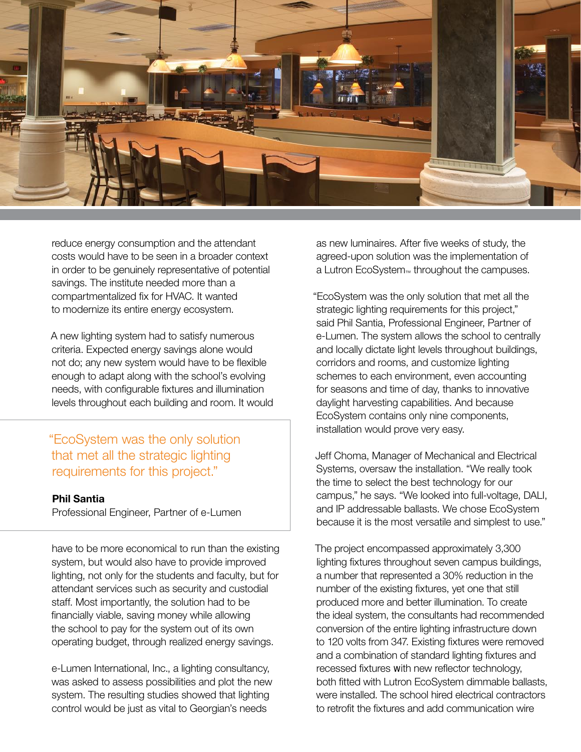

reduce energy consumption and the attendant costs would have to be seen in a broader context in order to be genuinely representative of potential savings. The institute needed more than a compartmentalized fix for HVAC. It wanted to modernize its entire energy ecosystem.

A new lighting system had to satisfy numerous criteria. Expected energy savings alone would not do; any new system would have to be flexible enough to adapt along with the school's evolving needs, with configurable fixtures and illumination levels throughout each building and room. It would

### "EcoSystem was the only solution that met all the strategic lighting requirements for this project."

#### Phil Santia

Professional Engineer, Partner of e-Lumen

have to be more economical to run than the existing system, but would also have to provide improved lighting, not only for the students and faculty, but for attendant services such as security and custodial staff. Most importantly, the solution had to be financially viable, saving money while allowing the school to pay for the system out of its own operating budget, through realized energy savings.

e-Lumen International, Inc., a lighting consultancy, was asked to assess possibilities and plot the new system. The resulting studies showed that lighting control would be just as vital to Georgian's needs

as new luminaires. After five weeks of study, the agreed-upon solution was the implementation of a Lutron EcoSystem™ throughout the campuses.

"EcoSystem was the only solution that met all the strategic lighting requirements for this project," said Phil Santia, Professional Engineer, Partner of e-Lumen. The system allows the school to centrally and locally dictate light levels throughout buildings, corridors and rooms, and customize lighting schemes to each environment, even accounting for seasons and time of day, thanks to innovative daylight harvesting capabilities. And because EcoSystem contains only nine components, installation would prove very easy.

Jeff Choma, Manager of Mechanical and Electrical Systems, oversaw the installation. "We really took the time to select the best technology for our campus," he says. "We looked into full-voltage, DALI, and IP addressable ballasts. We chose EcoSystem because it is the most versatile and simplest to use."

The project encompassed approximately 3,300 lighting fixtures throughout seven campus buildings, a number that represented a 30% reduction in the number of the existing fixtures, yet one that still produced more and better illumination. To create the ideal system, the consultants had recommended conversion of the entire lighting infrastructure down to 120 volts from 347. Existing fixtures were removed and a combination of standard lighting fixtures and recessed fixtures with new reflector technology, both fitted with Lutron EcoSystem dimmable ballasts, were installed. The school hired electrical contractors to retrofit the fixtures and add communication wire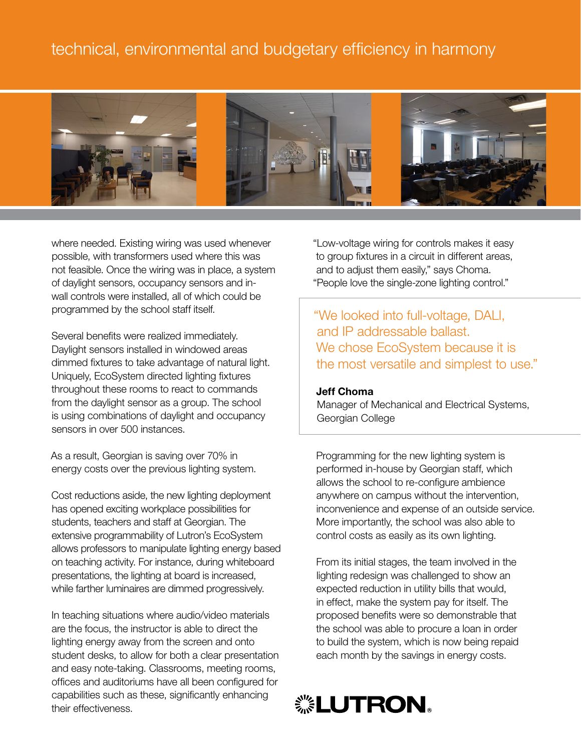## technical, environmental and budgetary efficiency in harmony



where needed. Existing wiring was used whenever possible, with transformers used where this was not feasible. Once the wiring was in place, a system of daylight sensors, occupancy sensors and inwall controls were installed, all of which could be programmed by the school staff itself.

Several benefits were realized immediately. Daylight sensors installed in windowed areas dimmed fixtures to take advantage of natural light. Uniquely, EcoSystem directed lighting fixtures throughout these rooms to react to commands from the daylight sensor as a group. The school is using combinations of daylight and occupancy sensors in over 500 instances.

As a result, Georgian is saving over 70% in energy costs over the previous lighting system.

Cost reductions aside, the new lighting deployment has opened exciting workplace possibilities for students, teachers and staff at Georgian. The extensive programmability of Lutron's EcoSystem allows professors to manipulate lighting energy based on teaching activity. For instance, during whiteboard presentations, the lighting at board is increased, while farther luminaires are dimmed progressively.

In teaching situations where audio/video materials are the focus, the instructor is able to direct the lighting energy away from the screen and onto student desks, to allow for both a clear presentation and easy note-taking. Classrooms, meeting rooms, offices and auditoriums have all been configured for capabilities such as these, significantly enhancing their effectiveness.

"Low-voltage wiring for controls makes it easy to group fixtures in a circuit in different areas, and to adjust them easily," says Choma. "People love the single-zone lighting control."

"We looked into full-voltage, DALI, and IP addressable ballast. We chose EcoSystem because it is the most versatile and simplest to use."

#### Jeff Choma

Manager of Mechanical and Electrical Systems, Georgian College

Programming for the new lighting system is performed in-house by Georgian staff, which allows the school to re-configure ambience anywhere on campus without the intervention, inconvenience and expense of an outside service. More importantly, the school was also able to control costs as easily as its own lighting.

From its initial stages, the team involved in the lighting redesign was challenged to show an expected reduction in utility bills that would, in effect, make the system pay for itself. The proposed benefits were so demonstrable that the school was able to procure a loan in order to build the system, which is now being repaid each month by the savings in energy costs.